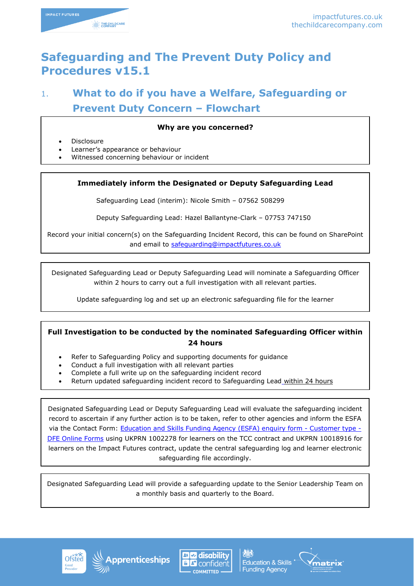

# **Safeguarding and The Prevent Duty Policy and Procedures v15.1**

# 1. **What to do if you have a Welfare, Safeguarding or Prevent Duty Concern – Flowchart**

#### **Why are you concerned?**

- Disclosure
- Learner's appearance or behaviour
- Witnessed concerning behaviour or incident

#### **Immediately inform the Designated or Deputy Safeguarding Lead**

Safeguarding Lead (interim): Nicole Smith – 07562 508299

Deputy Safeguarding Lead: Hazel Ballantyne-Clark – 07753 747150

Record your initial concern(s) on the Safeguarding Incident Record, this can be found on SharePoint and email to [safeguarding@impactfutures.co.uk](mailto:safeguarding@impactfutures.co.uk)

Designated Safeguarding Lead or Deputy Safeguarding Lead will nominate a Safeguarding Officer within 2 hours to carry out a full investigation with all relevant parties.

Update safeguarding log and set up an electronic safeguarding file for the learner

### **Full Investigation to be conducted by the nominated Safeguarding Officer within 24 hours**

- Refer to Safeguarding Policy and supporting documents for guidance
- Conduct a full investigation with all relevant parties
- Complete a full write up on the safeguarding incident record
- Return updated safeguarding incident record to Safeguarding Lead within 24 hours

Designated Safeguarding Lead or Deputy Safeguarding Lead will evaluate the safeguarding incident record to ascertain if any further action is to be taken, refer to other agencies and inform the ESFA via the Contact Form: **Education and Skills Funding Agency (ESFA) enquiry form - Customer type -**[DFE Online Forms](https://form.education.gov.uk/en/AchieveForms/?form_uri=sandbox-publish://AF-Process-f9f4f5a1-936f-448b-bbeb-9dcdd595f468/AF-Stage-8aa41278-3cdd-45a3-ad87-80cbffb8b992/definition.json&redirectlink=/en&cancelRedirectLink=/en&consentMessage=yes) using UKPRN 1002278 for learners on the TCC contract and UKPRN 10018916 for learners on the Impact Futures contract, update the central safeguarding log and learner electronic safeguarding file accordingly.

Designated Safeguarding Lead will provide a safeguarding update to the Senior Leadership Team on a monthly basis and quarterly to the Board.







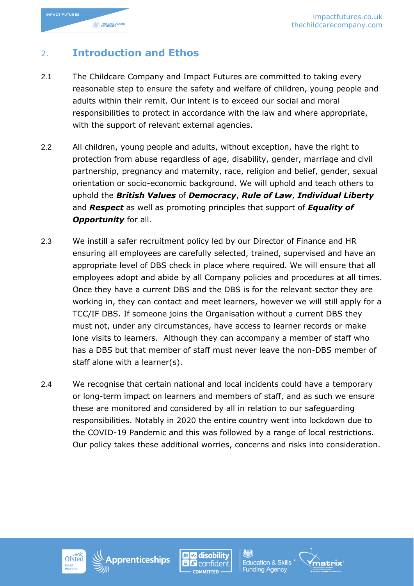

## 2. **Introduction and Ethos**

- 2.1 The Childcare Company and Impact Futures are committed to taking every reasonable step to ensure the safety and welfare of children, young people and adults within their remit. Our intent is to exceed our social and moral responsibilities to protect in accordance with the law and where appropriate, with the support of relevant external agencies.
- 2.2 All children, young people and adults, without exception, have the right to protection from abuse regardless of age, disability, gender, marriage and civil partnership, pregnancy and maternity, race, religion and belief, gender, sexual orientation or socio-economic background. We will uphold and teach others to uphold the *British Values* of *Democracy*, *Rule of Law*, *Individual Liberty* and *Respect* as well as promoting principles that support of *Equality of*  **Opportunity** for all.
- 2.3 We instill a safer recruitment policy led by our Director of Finance and HR ensuring all employees are carefully selected, trained, supervised and have an appropriate level of DBS check in place where required. We will ensure that all employees adopt and abide by all Company policies and procedures at all times. Once they have a current DBS and the DBS is for the relevant sector they are working in, they can contact and meet learners, however we will still apply for a TCC/IF DBS. If someone joins the Organisation without a current DBS they must not, under any circumstances, have access to learner records or make lone visits to learners. Although they can accompany a member of staff who has a DBS but that member of staff must never leave the non-DBS member of staff alone with a learner(s).
- 2.4 We recognise that certain national and local incidents could have a temporary or long-term impact on learners and members of staff, and as such we ensure these are monitored and considered by all in relation to our safeguarding responsibilities. Notably in 2020 the entire country went into lockdown due to the COVID-19 Pandemic and this was followed by a range of local restrictions. Our policy takes these additional worries, concerns and risks into consideration.







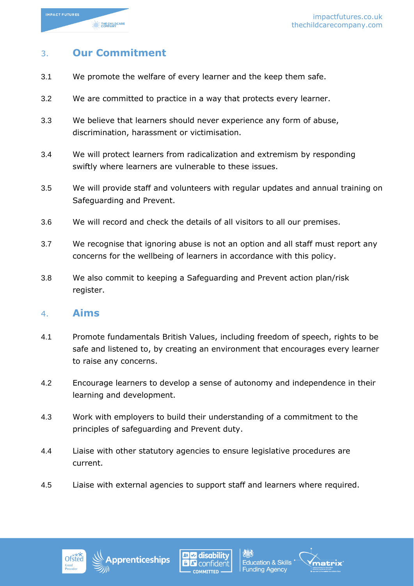

### 3. **Our Commitment**

- 3.1 We promote the welfare of every learner and the keep them safe.
- 3.2 We are committed to practice in a way that protects every learner.
- 3.3 We believe that learners should never experience any form of abuse, discrimination, harassment or victimisation.
- 3.4 We will protect learners from radicalization and extremism by responding swiftly where learners are vulnerable to these issues.
- 3.5 We will provide staff and volunteers with regular updates and annual training on Safeguarding and Prevent.
- 3.6 We will record and check the details of all visitors to all our premises.
- 3.7 We recognise that ignoring abuse is not an option and all staff must report any concerns for the wellbeing of learners in accordance with this policy.
- 3.8 We also commit to keeping a Safeguarding and Prevent action plan/risk register.

### 4. **Aims**

- 4.1 Promote fundamentals British Values, including freedom of speech, rights to be safe and listened to, by creating an environment that encourages every learner to raise any concerns.
- 4.2 Encourage learners to develop a sense of autonomy and independence in their learning and development.
- 4.3 Work with employers to build their understanding of a commitment to the principles of safeguarding and Prevent duty.
- 4.4 Liaise with other statutory agencies to ensure legislative procedures are current.
- 4.5 Liaise with external agencies to support staff and learners where required.







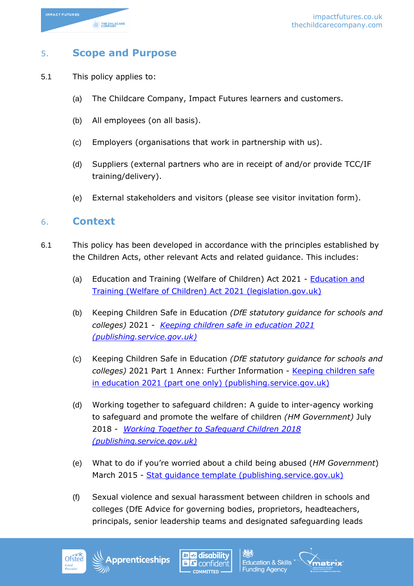

### 5. **Scope and Purpose**

- 5.1 This policy applies to:
	- (a) The Childcare Company, Impact Futures learners and customers.
	- (b) All employees (on all basis).
	- (c) Employers (organisations that work in partnership with us).
	- (d) Suppliers (external partners who are in receipt of and/or provide TCC/IF training/delivery).
	- (e) External stakeholders and visitors (please see visitor invitation form).

### 6. **Context**

- 6.1 This policy has been developed in accordance with the principles established by the Children Acts, other relevant Acts and related guidance. This includes:
	- (a) Education and Training (Welfare of Children) Act 2021 [Education and](https://www.legislation.gov.uk/en/ukpga/2021/16/enacted)  [Training \(Welfare of Children\) Act 2021 \(legislation.gov.uk\)](https://www.legislation.gov.uk/en/ukpga/2021/16/enacted)
	- (b) Keeping Children Safe in Education *(DfE statutory guidance for schools and colleges)* 2021 - *[Keeping children safe in education 2021](https://assets.publishing.service.gov.uk/government/uploads/system/uploads/attachment_data/file/1007260/Keeping_children_safe_in_education_2021.pdf)  [\(publishing.service.gov.uk\)](https://assets.publishing.service.gov.uk/government/uploads/system/uploads/attachment_data/file/1007260/Keeping_children_safe_in_education_2021.pdf)*
	- (c) Keeping Children Safe in Education *(DfE statutory guidance for schools and colleges)* 2021 Part 1 Annex: Further Information - [Keeping children safe](https://assets.publishing.service.gov.uk/government/uploads/system/uploads/attachment_data/file/1014058/KCSIE_2021_Part_One_September.pdf)  [in education 2021 \(part one only\) \(publishing.service.gov.uk\)](https://assets.publishing.service.gov.uk/government/uploads/system/uploads/attachment_data/file/1014058/KCSIE_2021_Part_One_September.pdf)
	- (d) Working together to safeguard children: A guide to inter-agency working to safeguard and promote the welfare of children *(HM Government)* July 2018 - *[Working Together to Safeguard Children 2018](https://assets.publishing.service.gov.uk/government/uploads/system/uploads/attachment_data/file/942454/Working_together_to_safeguard_children_inter_agency_guidance.pdf)  [\(publishing.service.gov.uk\)](https://assets.publishing.service.gov.uk/government/uploads/system/uploads/attachment_data/file/942454/Working_together_to_safeguard_children_inter_agency_guidance.pdf)*
	- (e) What to do if you're worried about a child being abused (*HM Government*) March 2015 - Stat quidance template (publishing.service.gov.uk)
	- (f) Sexual violence and sexual harassment between children in schools and colleges (DfE Advice for governing bodies, proprietors, headteachers, principals, senior leadership teams and designated safeguarding leads

**disability** 

**Education & Skills** 

**Funding Agency** 

iatrix



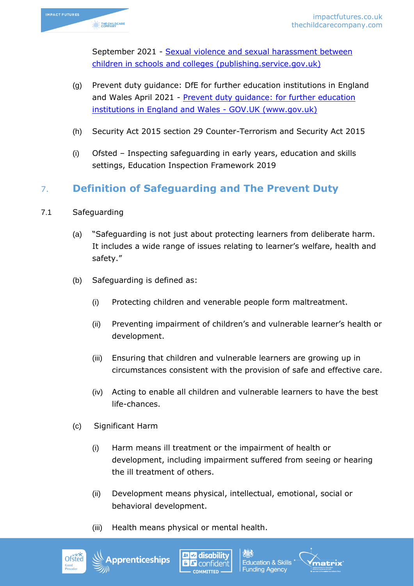

September 2021 - [Sexual violence and sexual harassment between](https://assets.publishing.service.gov.uk/government/uploads/system/uploads/attachment_data/file/999239/SVSH_2021.pdf)  [children in schools and colleges \(publishing.service.gov.uk\)](https://assets.publishing.service.gov.uk/government/uploads/system/uploads/attachment_data/file/999239/SVSH_2021.pdf)

- (g) Prevent duty guidance: DfE for further education institutions in England and Wales April 2021 - Prevent duty quidance: for further education [institutions in England and Wales -](https://www.gov.uk/government/publications/prevent-duty-guidance/prevent-duty-guidance-for-further-education-institutions-in-england-and-wales) GOV.UK (www.gov.uk)
- (h) Security Act 2015 section 29 Counter-Terrorism and Security Act 2015
- (i) Ofsted Inspecting safeguarding in early years, education and skills settings, Education Inspection Framework 2019

## 7. **Definition of Safeguarding and The Prevent Duty**

- 7.1 Safeguarding
	- (a) "Safeguarding is not just about protecting learners from deliberate harm. It includes a wide range of issues relating to learner's welfare, health and safety."
	- (b) Safeguarding is defined as:
		- (i) Protecting children and venerable people form maltreatment.
		- (ii) Preventing impairment of children's and vulnerable learner's health or development.
		- (iii) Ensuring that children and vulnerable learners are growing up in circumstances consistent with the provision of safe and effective care.
		- (iv) Acting to enable all children and vulnerable learners to have the best life-chances.
	- (c) Significant Harm
		- (i) Harm means ill treatment or the impairment of health or development, including impairment suffered from seeing or hearing the ill treatment of others.
		- (ii) Development means physical, intellectual, emotional, social or behavioral development.
		- (iii) Health means physical or mental health.







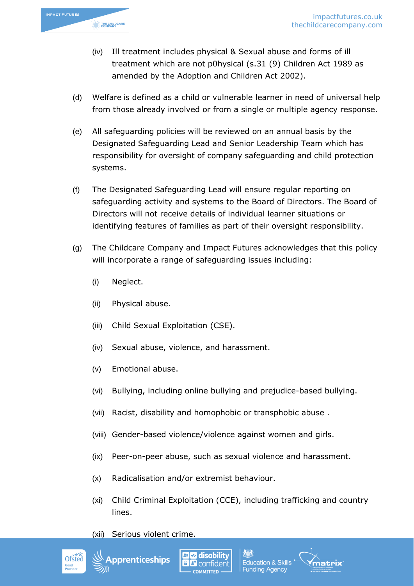

- (iv) Ill treatment includes physical & Sexual abuse and forms of ill treatment which are not p0hysical (s.31 (9) Children Act 1989 as amended by the Adoption and Children Act 2002).
- (d) Welfare is defined as a child or vulnerable learner in need of universal help from those already involved or from a single or multiple agency response.
- (e) All safeguarding policies will be reviewed on an annual basis by the Designated Safeguarding Lead and Senior Leadership Team which has responsibility for oversight of company safeguarding and child protection systems.
- (f) The Designated Safeguarding Lead will ensure regular reporting on safeguarding activity and systems to the Board of Directors. The Board of Directors will not receive details of individual learner situations or identifying features of families as part of their oversight responsibility.
- (g) The Childcare Company and Impact Futures acknowledges that this policy will incorporate a range of safeguarding issues including:
	- (i) Neglect.
	- (ii) Physical abuse.
	- (iii) Child Sexual Exploitation (CSE).
	- (iv) Sexual abuse, violence, and harassment.
	- (v) Emotional abuse.
	- (vi) Bullying, including online bullying and prejudice-based bullying.
	- (vii) Racist, disability and homophobic or transphobic abuse .
	- (viii) Gender-based violence/violence against women and girls.
	- (ix) Peer-on-peer abuse, such as sexual violence and harassment.
	- (x) Radicalisation and/or extremist behaviour.
	- (xi) Child Criminal Exploitation (CCE), including trafficking and country lines.

**Education & Skills Funding Agency** 

(xii) Serious violent crime.



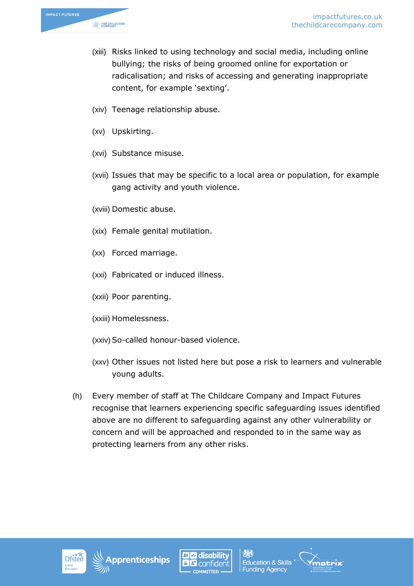

- (xiii) Risks linked to using technology and social media, including online bullying; the risks of being groomed online for exportation or radicalisation; and risks of accessing and generating inappropriate content, for example 'sexting'.
- (xiv) Teenage relationship abuse.
- (xv) Upskirting.
- (xvi) Substance misuse.
- (xvii) Issues that may be specific to a local area or population, for example gang activity and youth violence.
- (xviii) Domestic abuse.
- (xix) Female genital mutilation.
- (xx) Forced marriage.
- (xxi) Fabricated or induced illness.
- (xxii) Poor parenting.
- (xxiii) Homelessness.
- (xxiv) So-called honour-based violence.
- (xxv) Other issues not listed here but pose a risk to learners and vulnerable young adults.
- (h) Every member of staff at The Childcare Company and Impact Futures recognise that learners experiencing specific safeguarding issues identified above are no different to safeguarding against any other vulnerability or concern and will be approached and responded to in the same way as protecting learners from any other risks.







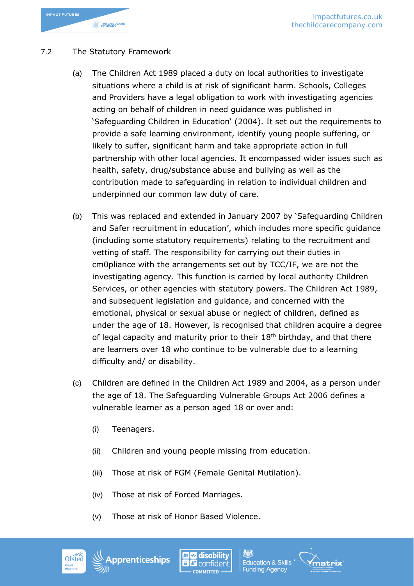

### 7.2 The Statutory Framework

- (a) The Children Act 1989 placed a duty on local authorities to investigate situations where a child is at risk of significant harm. Schools, Colleges and Providers have a legal obligation to work with investigating agencies acting on behalf of children in need guidance was published in 'Safeguarding Children in Education' (2004). It set out the requirements to provide a safe learning environment, identify young people suffering, or likely to suffer, significant harm and take appropriate action in full partnership with other local agencies. It encompassed wider issues such as health, safety, drug/substance abuse and bullying as well as the contribution made to safeguarding in relation to individual children and underpinned our common law duty of care.
- (b) This was replaced and extended in January 2007 by 'Safeguarding Children and Safer recruitment in education', which includes more specific guidance (including some statutory requirements) relating to the recruitment and vetting of staff. The responsibility for carrying out their duties in cm0pliance with the arrangements set out by TCC/IF, we are not the investigating agency. This function is carried by local authority Children Services, or other agencies with statutory powers. The Children Act 1989, and subsequent legislation and guidance, and concerned with the emotional, physical or sexual abuse or neglect of children, defined as under the age of 18. However, is recognised that children acquire a degree of legal capacity and maturity prior to their 18<sup>th</sup> birthday, and that there are learners over 18 who continue to be vulnerable due to a learning difficulty and/ or disability.
- (c) Children are defined in the Children Act 1989 and 2004, as a person under the age of 18. The Safeguarding Vulnerable Groups Act 2006 defines a vulnerable learner as a person aged 18 or over and:
	- (i) Teenagers.
	- (ii) Children and young people missing from education.
	- (iii) Those at risk of FGM (Female Genital Mutilation).
	- (iv) Those at risk of Forced Marriages.
	- (v) Those at risk of Honor Based Violence.





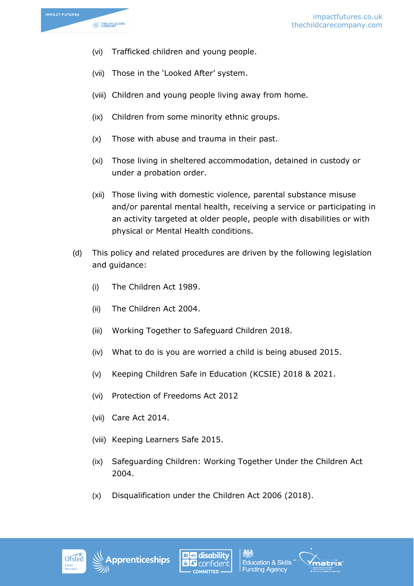

- (vi) Trafficked children and young people.
- (vii) Those in the 'Looked After' system.
- (viii) Children and young people living away from home.
- (ix) Children from some minority ethnic groups.
- (x) Those with abuse and trauma in their past.
- (xi) Those living in sheltered accommodation, detained in custody or under a probation order.
- (xii) Those living with domestic violence, parental substance misuse and/or parental mental health, receiving a service or participating in an activity targeted at older people, people with disabilities or with physical or Mental Health conditions.
- (d) This policy and related procedures are driven by the following legislation and guidance:
	- (i) The Children Act 1989.
	- (ii) The Children Act 2004.
	- (iii) Working Together to Safeguard Children 2018.
	- (iv) What to do is you are worried a child is being abused 2015.
	- (v) Keeping Children Safe in Education (KCSIE) 2018 & 2021.
	- (vi) Protection of Freedoms Act 2012
	- (vii) Care Act 2014.
	- (viii) Keeping Learners Safe 2015.
	- (ix) Safeguarding Children: Working Together Under the Children Act 2004.
	- (x) Disqualification under the Children Act 2006 (2018).









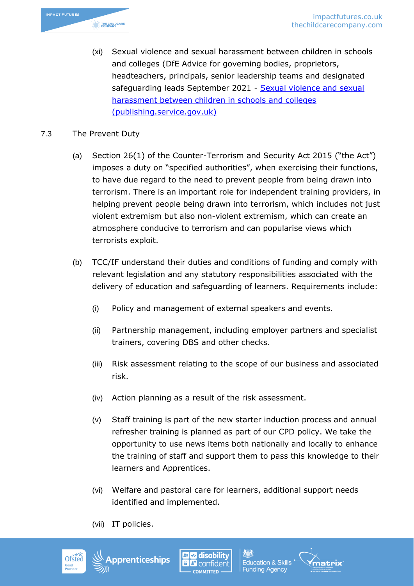

(xi) Sexual violence and sexual harassment between children in schools and colleges (DfE Advice for governing bodies, proprietors, headteachers, principals, senior leadership teams and designated safeguarding leads September 2021 - [Sexual violence and sexual](https://assets.publishing.service.gov.uk/government/uploads/system/uploads/attachment_data/file/999239/SVSH_2021.pdf)  [harassment between children in schools and colleges](https://assets.publishing.service.gov.uk/government/uploads/system/uploads/attachment_data/file/999239/SVSH_2021.pdf)  [\(publishing.service.gov.uk\)](https://assets.publishing.service.gov.uk/government/uploads/system/uploads/attachment_data/file/999239/SVSH_2021.pdf)

### 7.3 The Prevent Duty

- (a) Section 26(1) of the Counter-Terrorism and Security Act 2015 ("the Act") imposes a duty on "specified authorities", when exercising their functions, to have due regard to the need to prevent people from being drawn into terrorism. There is an important role for independent training providers, in helping prevent people being drawn into terrorism, which includes not just violent extremism but also non-violent extremism, which can create an atmosphere conducive to terrorism and can popularise views which terrorists exploit.
- (b) TCC/IF understand their duties and conditions of funding and comply with relevant legislation and any statutory responsibilities associated with the delivery of education and safeguarding of learners. Requirements include:
	- (i) Policy and management of external speakers and events.
	- (ii) Partnership management, including employer partners and specialist trainers, covering DBS and other checks.
	- (iii) Risk assessment relating to the scope of our business and associated risk.
	- (iv) Action planning as a result of the risk assessment.
	- (v) Staff training is part of the new starter induction process and annual refresher training is planned as part of our CPD policy. We take the opportunity to use news items both nationally and locally to enhance the training of staff and support them to pass this knowledge to their learners and Apprentices.
	- (vi) Welfare and pastoral care for learners, additional support needs identified and implemented.
	- (vii) IT policies.







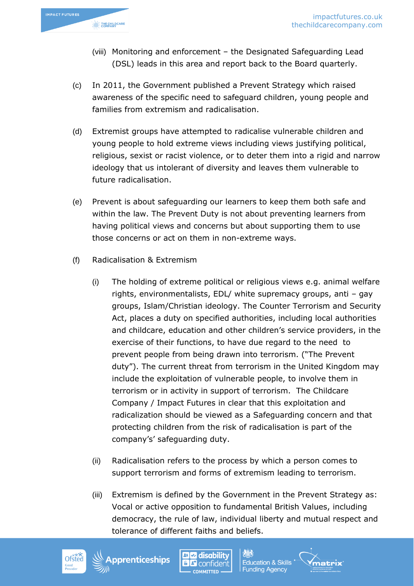

- (viii) Monitoring and enforcement the Designated Safeguarding Lead (DSL) leads in this area and report back to the Board quarterly.
- (c) In 2011, the Government published a Prevent Strategy which raised awareness of the specific need to safeguard children, young people and families from extremism and radicalisation.
- (d) Extremist groups have attempted to radicalise vulnerable children and young people to hold extreme views including views justifying political, religious, sexist or racist violence, or to deter them into a rigid and narrow ideology that us intolerant of diversity and leaves them vulnerable to future radicalisation.
- (e) Prevent is about safeguarding our learners to keep them both safe and within the law. The Prevent Duty is not about preventing learners from having political views and concerns but about supporting them to use those concerns or act on them in non-extreme ways.
- (f) Radicalisation & Extremism
	- (i) The holding of extreme political or religious views e.g. animal welfare rights, environmentalists, EDL/ white supremacy groups, anti – gay groups, Islam/Christian ideology. The Counter Terrorism and Security Act, places a duty on specified authorities, including local authorities and childcare, education and other children's service providers, in the exercise of their functions, to have due regard to the need to prevent people from being drawn into terrorism. ("The Prevent duty"). The current threat from terrorism in the United Kingdom may include the exploitation of vulnerable people, to involve them in terrorism or in activity in support of terrorism. The Childcare Company / Impact Futures in clear that this exploitation and radicalization should be viewed as a Safeguarding concern and that protecting children from the risk of radicalisation is part of the company's' safeguarding duty.
	- (ii) Radicalisation refers to the process by which a person comes to support terrorism and forms of extremism leading to terrorism.
	- (iii) Extremism is defined by the Government in the Prevent Strategy as: Vocal or active opposition to fundamental British Values, including democracy, the rule of law, individual liberty and mutual respect and tolerance of different faiths and beliefs.









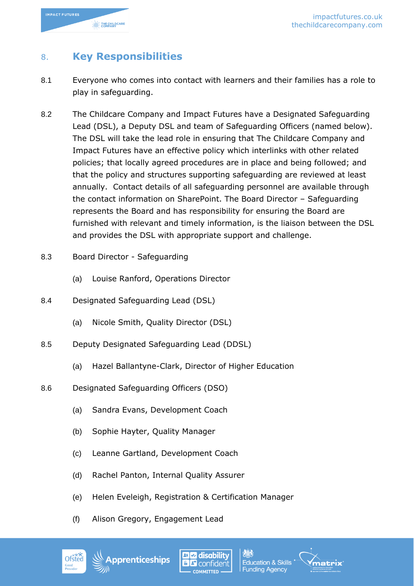

## 8. **Key Responsibilities**

- 8.1 Everyone who comes into contact with learners and their families has a role to play in safeguarding.
- 8.2 The Childcare Company and Impact Futures have a Designated Safeguarding Lead (DSL), a Deputy DSL and team of Safeguarding Officers (named below). The DSL will take the lead role in ensuring that The Childcare Company and Impact Futures have an effective policy which interlinks with other related policies; that locally agreed procedures are in place and being followed; and that the policy and structures supporting safeguarding are reviewed at least annually. Contact details of all safeguarding personnel are available through the contact information on SharePoint. The Board Director – Safeguarding represents the Board and has responsibility for ensuring the Board are furnished with relevant and timely information, is the liaison between the DSL and provides the DSL with appropriate support and challenge.
- 8.3 Board Director Safeguarding
	- (a) Louise Ranford, Operations Director
- 8.4 Designated Safeguarding Lead (DSL)
	- (a) Nicole Smith, Quality Director (DSL)
- 8.5 Deputy Designated Safeguarding Lead (DDSL)
	- (a) Hazel Ballantyne-Clark, Director of Higher Education
- 8.6 Designated Safeguarding Officers (DSO)
	- (a) Sandra Evans, Development Coach
	- (b) Sophie Hayter, Quality Manager
	- (c) Leanne Gartland, Development Coach
	- (d) Rachel Panton, Internal Quality Assurer
	- (e) Helen Eveleigh, Registration & Certification Manager
	- (f) Alison Gregory, Engagement Lead





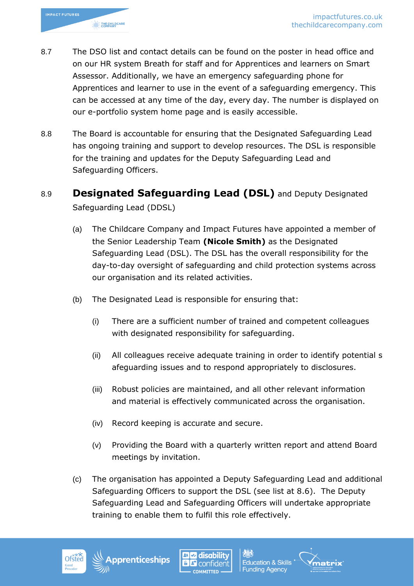

- 8.7 The DSO list and contact details can be found on the poster in head office and on our HR system Breath for staff and for Apprentices and learners on Smart Assessor. Additionally, we have an emergency safeguarding phone for Apprentices and learner to use in the event of a safeguarding emergency. This can be accessed at any time of the day, every day. The number is displayed on our e-portfolio system home page and is easily accessible.
- 8.8 The Board is accountable for ensuring that the Designated Safeguarding Lead has ongoing training and support to develop resources. The DSL is responsible for the training and updates for the Deputy Safeguarding Lead and Safeguarding Officers.
- 8.9 **Designated Safeguarding Lead (DSL)** and Deputy Designated Safeguarding Lead (DDSL)
	- (a) The Childcare Company and Impact Futures have appointed a member of the Senior Leadership Team **(Nicole Smith)** as the Designated Safeguarding Lead (DSL). The DSL has the overall responsibility for the day-to-day oversight of safeguarding and child protection systems across our organisation and its related activities.
	- (b) The Designated Lead is responsible for ensuring that:
		- (i) There are a sufficient number of trained and competent colleagues with designated responsibility for safeguarding.
		- (ii) All colleagues receive adequate training in order to identify potential s afeguarding issues and to respond appropriately to disclosures.
		- (iii) Robust policies are maintained, and all other relevant information and material is effectively communicated across the organisation.
		- (iv) Record keeping is accurate and secure.
		- (v) Providing the Board with a quarterly written report and attend Board meetings by invitation.
	- (c) The organisation has appointed a Deputy Safeguarding Lead and additional Safeguarding Officers to support the DSL (see list at 8.6). The Deputy Safeguarding Lead and Safeguarding Officers will undertake appropriate training to enable them to fulfil this role effectively.







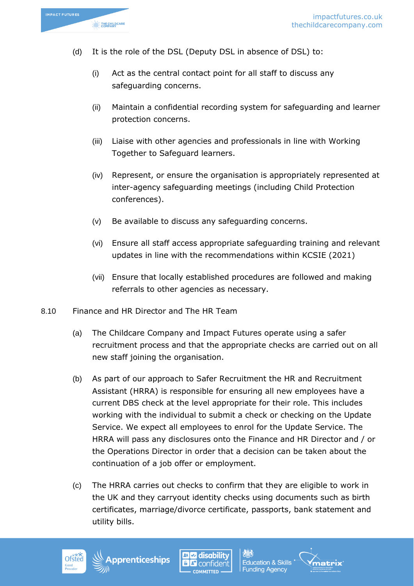

- (d) It is the role of the DSL (Deputy DSL in absence of DSL) to:
	- (i) Act as the central contact point for all staff to discuss any safeguarding concerns.
	- (ii) Maintain a confidential recording system for safeguarding and learner protection concerns.
	- (iii) Liaise with other agencies and professionals in line with Working Together to Safeguard learners.
	- (iv) Represent, or ensure the organisation is appropriately represented at inter-agency safeguarding meetings (including Child Protection conferences).
	- (v) Be available to discuss any safeguarding concerns.
	- (vi) Ensure all staff access appropriate safeguarding training and relevant updates in line with the recommendations within KCSIE (2021)
	- (vii) Ensure that locally established procedures are followed and making referrals to other agencies as necessary.
- 8.10 Finance and HR Director and The HR Team
	- (a) The Childcare Company and Impact Futures operate using a safer recruitment process and that the appropriate checks are carried out on all new staff joining the organisation.
	- (b) As part of our approach to Safer Recruitment the HR and Recruitment Assistant (HRRA) is responsible for ensuring all new employees have a current DBS check at the level appropriate for their role. This includes working with the individual to submit a check or checking on the Update Service. We expect all employees to enrol for the Update Service. The HRRA will pass any disclosures onto the Finance and HR Director and / or the Operations Director in order that a decision can be taken about the continuation of a job offer or employment.
	- (c) The HRRA carries out checks to confirm that they are eligible to work in the UK and they carryout identity checks using documents such as birth certificates, marriage/divorce certificate, passports, bank statement and utility bills.







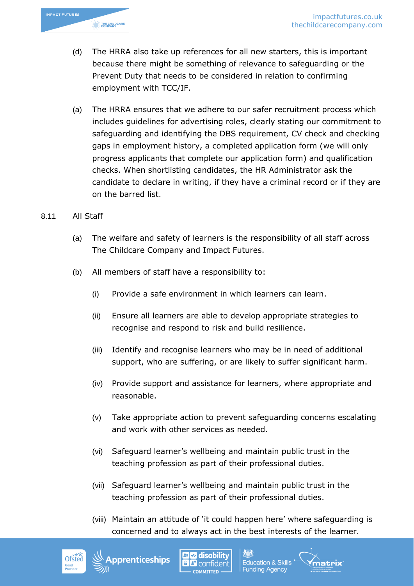

- (d) The HRRA also take up references for all new starters, this is important because there might be something of relevance to safeguarding or the Prevent Duty that needs to be considered in relation to confirming employment with TCC/IF.
- (a) The HRRA ensures that we adhere to our safer recruitment process which includes guidelines for advertising roles, clearly stating our commitment to safeguarding and identifying the DBS requirement, CV check and checking gaps in employment history, a completed application form (we will only progress applicants that complete our application form) and qualification checks. When shortlisting candidates, the HR Administrator ask the candidate to declare in writing, if they have a criminal record or if they are on the barred list.
- 8.11 All Staff
	- (a) The welfare and safety of learners is the responsibility of all staff across The Childcare Company and Impact Futures.
	- (b) All members of staff have a responsibility to:
		- (i) Provide a safe environment in which learners can learn.
		- (ii) Ensure all learners are able to develop appropriate strategies to recognise and respond to risk and build resilience.
		- (iii) Identify and recognise learners who may be in need of additional support, who are suffering, or are likely to suffer significant harm.
		- (iv) Provide support and assistance for learners, where appropriate and reasonable.
		- (v) Take appropriate action to prevent safeguarding concerns escalating and work with other services as needed.
		- (vi) Safeguard learner's wellbeing and maintain public trust in the teaching profession as part of their professional duties.
		- (vii) Safeguard learner's wellbeing and maintain public trust in the teaching profession as part of their professional duties.
		- (viii) Maintain an attitude of 'it could happen here' where safeguarding is concerned and to always act in the best interests of the learner.

**Funding Agency** 







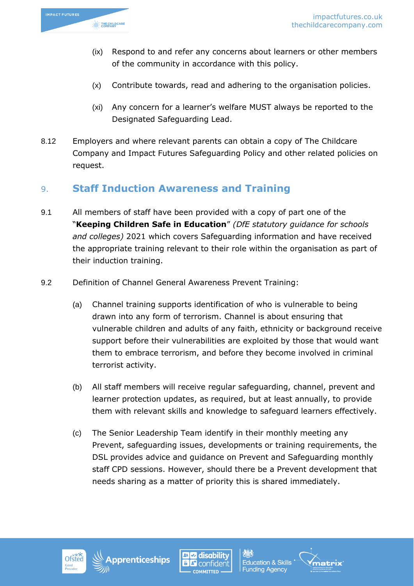

- (ix) Respond to and refer any concerns about learners or other members of the community in accordance with this policy.
- (x) Contribute towards, read and adhering to the organisation policies.
- (xi) Any concern for a learner's welfare MUST always be reported to the Designated Safeguarding Lead.
- 8.12 Employers and where relevant parents can obtain a copy of The Childcare Company and Impact Futures Safeguarding Policy and other related policies on request.

### 9. **Staff Induction Awareness and Training**

- 9.1 All members of staff have been provided with a copy of part one of the "**Keeping Children Safe in Education**" *(DfE statutory guidance for schools and colleges)* 2021 which covers Safeguarding information and have received the appropriate training relevant to their role within the organisation as part of their induction training.
- 9.2 Definition of Channel General Awareness Prevent Training:
	- (a) Channel training supports identification of who is vulnerable to being drawn into any form of terrorism. Channel is about ensuring that vulnerable children and adults of any faith, ethnicity or background receive support before their vulnerabilities are exploited by those that would want them to embrace terrorism, and before they become involved in criminal terrorist activity.
	- (b) All staff members will receive regular safeguarding, channel, prevent and learner protection updates, as required, but at least annually, to provide them with relevant skills and knowledge to safeguard learners effectively.
	- (c) The Senior Leadership Team identify in their monthly meeting any Prevent, safeguarding issues, developments or training requirements, the DSL provides advice and guidance on Prevent and Safeguarding monthly staff CPD sessions. However, should there be a Prevent development that needs sharing as a matter of priority this is shared immediately.







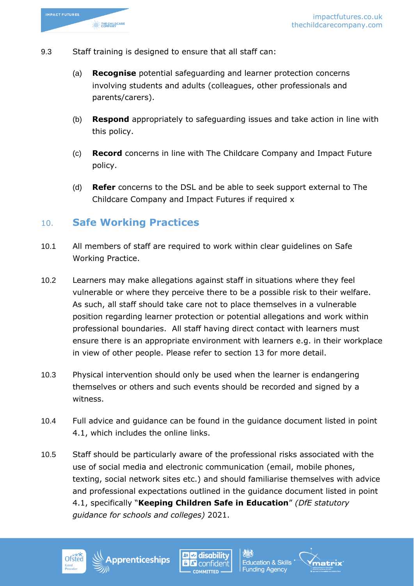- 9.3 Staff training is designed to ensure that all staff can:
	- (a) **Recognise** potential safeguarding and learner protection concerns involving students and adults (colleagues, other professionals and parents/carers).
	- (b) **Respond** appropriately to safeguarding issues and take action in line with this policy.
	- (c) **Record** concerns in line with The Childcare Company and Impact Future policy.
	- (d) **Refer** concerns to the DSL and be able to seek support external to The Childcare Company and Impact Futures if required x

### 10. **Safe Working Practices**

- 10.1 All members of staff are required to work within clear guidelines on Safe Working Practice.
- 10.2 Learners may make allegations against staff in situations where they feel vulnerable or where they perceive there to be a possible risk to their welfare. As such, all staff should take care not to place themselves in a vulnerable position regarding learner protection or potential allegations and work within professional boundaries. All staff having direct contact with learners must ensure there is an appropriate environment with learners e.g. in their workplace in view of other people. Please refer to section 13 for more detail.
- 10.3 Physical intervention should only be used when the learner is endangering themselves or others and such events should be recorded and signed by a witness.
- 10.4 Full advice and guidance can be found in the guidance document listed in point 4.1, which includes the online links.
- 10.5 Staff should be particularly aware of the professional risks associated with the use of social media and electronic communication (email, mobile phones, texting, social network sites etc.) and should familiarise themselves with advice and professional expectations outlined in the guidance document listed in point 4.1, specifically "**Keeping Children Safe in Education**" *(DfE statutory guidance for schools and colleges)* 2021.







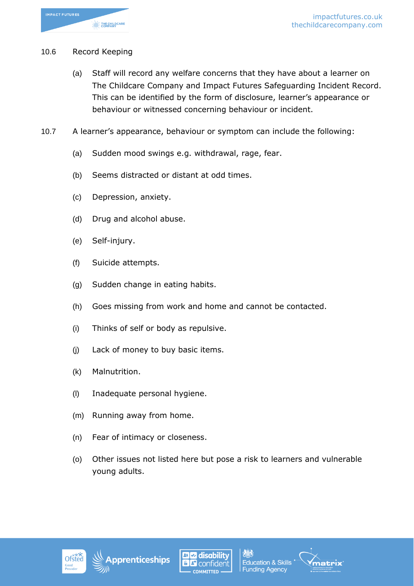

#### 10.6 Record Keeping

- (a) Staff will record any welfare concerns that they have about a learner on The Childcare Company and Impact Futures Safeguarding Incident Record. This can be identified by the form of disclosure, learner's appearance or behaviour or witnessed concerning behaviour or incident.
- 10.7 A learner's appearance, behaviour or symptom can include the following:
	- (a) Sudden mood swings e.g. withdrawal, rage, fear.
	- (b) Seems distracted or distant at odd times.
	- (c) Depression, anxiety.
	- (d) Drug and alcohol abuse.
	- (e) Self-injury.
	- (f) Suicide attempts.
	- (g) Sudden change in eating habits.
	- (h) Goes missing from work and home and cannot be contacted.
	- (i) Thinks of self or body as repulsive.
	- (j) Lack of money to buy basic items.
	- (k) Malnutrition.
	- (l) Inadequate personal hygiene.
	- (m) Running away from home.
	- (n) Fear of intimacy or closeness.
	- (o) Other issues not listed here but pose a risk to learners and vulnerable young adults.









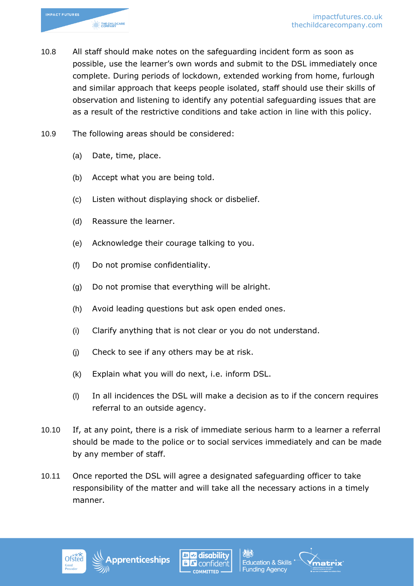

- 10.8 All staff should make notes on the safeguarding incident form as soon as possible, use the learner's own words and submit to the DSL immediately once complete. During periods of lockdown, extended working from home, furlough and similar approach that keeps people isolated, staff should use their skills of observation and listening to identify any potential safeguarding issues that are as a result of the restrictive conditions and take action in line with this policy.
- 10.9 The following areas should be considered:
	- (a) Date, time, place.
	- (b) Accept what you are being told.
	- (c) Listen without displaying shock or disbelief.
	- (d) Reassure the learner.
	- (e) Acknowledge their courage talking to you.
	- (f) Do not promise confidentiality.
	- (g) Do not promise that everything will be alright.
	- (h) Avoid leading questions but ask open ended ones.
	- (i) Clarify anything that is not clear or you do not understand.
	- (j) Check to see if any others may be at risk.
	- (k) Explain what you will do next, i.e. inform DSL.
	- (l) In all incidences the DSL will make a decision as to if the concern requires referral to an outside agency.
- 10.10 If, at any point, there is a risk of immediate serious harm to a learner a referral should be made to the police or to social services immediately and can be made by any member of staff.
- 10.11 Once reported the DSL will agree a designated safeguarding officer to take responsibility of the matter and will take all the necessary actions in a timely manner.







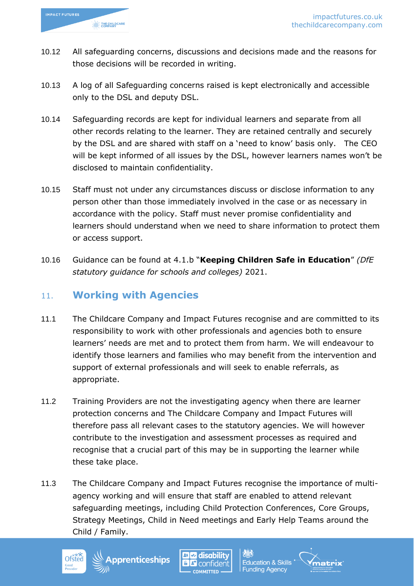

- 10.12 All safeguarding concerns, discussions and decisions made and the reasons for those decisions will be recorded in writing.
- 10.13 A log of all Safeguarding concerns raised is kept electronically and accessible only to the DSL and deputy DSL.
- 10.14 Safeguarding records are kept for individual learners and separate from all other records relating to the learner. They are retained centrally and securely by the DSL and are shared with staff on a 'need to know' basis only. The CEO will be kept informed of all issues by the DSL, however learners names won't be disclosed to maintain confidentiality.
- 10.15 Staff must not under any circumstances discuss or disclose information to any person other than those immediately involved in the case or as necessary in accordance with the policy. Staff must never promise confidentiality and learners should understand when we need to share information to protect them or access support.
- 10.16 Guidance can be found at 4.1.b "**Keeping Children Safe in Education**" *(DfE statutory guidance for schools and colleges)* 2021.

### 11. **Working with Agencies**

- 11.1 The Childcare Company and Impact Futures recognise and are committed to its responsibility to work with other professionals and agencies both to ensure learners' needs are met and to protect them from harm. We will endeavour to identify those learners and families who may benefit from the intervention and support of external professionals and will seek to enable referrals, as appropriate.
- 11.2 Training Providers are not the investigating agency when there are learner protection concerns and The Childcare Company and Impact Futures will therefore pass all relevant cases to the statutory agencies. We will however contribute to the investigation and assessment processes as required and recognise that a crucial part of this may be in supporting the learner while these take place.
- 11.3 The Childcare Company and Impact Futures recognise the importance of multiagency working and will ensure that staff are enabled to attend relevant safeguarding meetings, including Child Protection Conferences, Core Groups, Strategy Meetings, Child in Need meetings and Early Help Teams around the Child / Family.

**Education & Skills** 

**Funding Agency** 

hatrix



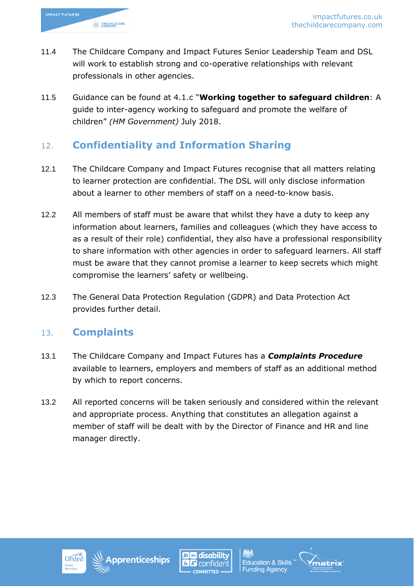

- 11.4 The Childcare Company and Impact Futures Senior Leadership Team and DSL will work to establish strong and co-operative relationships with relevant professionals in other agencies.
- 11.5 Guidance can be found at 4.1.c "**Working together to safeguard children**: A guide to inter-agency working to safeguard and promote the welfare of children" *(HM Government)* July 2018.

## 12. **Confidentiality and Information Sharing**

- 12.1 The Childcare Company and Impact Futures recognise that all matters relating to learner protection are confidential. The DSL will only disclose information about a learner to other members of staff on a need-to-know basis.
- 12.2 All members of staff must be aware that whilst they have a duty to keep any information about learners, families and colleagues (which they have access to as a result of their role) confidential, they also have a professional responsibility to share information with other agencies in order to safeguard learners. All staff must be aware that they cannot promise a learner to keep secrets which might compromise the learners' safety or wellbeing.
- 12.3 The General Data Protection Regulation (GDPR) and Data Protection Act provides further detail.

### 13. **Complaints**

- 13.1 The Childcare Company and Impact Futures has a *Complaints Procedure* available to learners, employers and members of staff as an additional method by which to report concerns.
- 13.2 All reported concerns will be taken seriously and considered within the relevant and appropriate process. Anything that constitutes an allegation against a member of staff will be dealt with by the Director of Finance and HR and line manager directly.







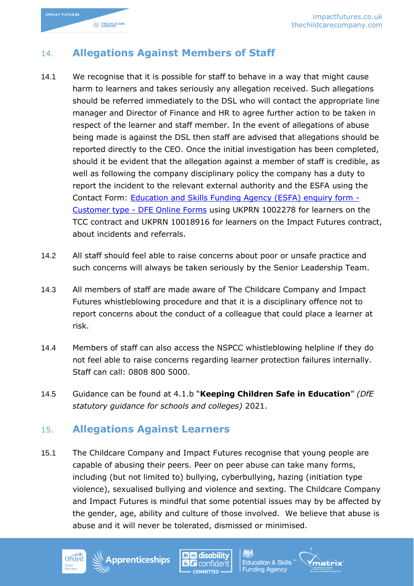

### 14. **Allegations Against Members of Staff**

- 14.1 We recognise that it is possible for staff to behave in a way that might cause harm to learners and takes seriously any allegation received. Such allegations should be referred immediately to the DSL who will contact the appropriate line manager and Director of Finance and HR to agree further action to be taken in respect of the learner and staff member. In the event of allegations of abuse being made is against the DSL then staff are advised that allegations should be reported directly to the CEO. Once the initial investigation has been completed, should it be evident that the allegation against a member of staff is credible, as well as following the company disciplinary policy the company has a duty to report the incident to the relevant external authority and the ESFA using the Contact Form: [Education and Skills Funding Agency \(ESFA\) enquiry form -](https://form.education.gov.uk/en/AchieveForms/?form_uri=sandbox-publish://AF-Process-f9f4f5a1-936f-448b-bbeb-9dcdd595f468/AF-Stage-8aa41278-3cdd-45a3-ad87-80cbffb8b992/definition.json&redirectlink=/en&cancelRedirectLink=/en&consentMessage=yes) Customer type - [DFE Online Forms](https://form.education.gov.uk/en/AchieveForms/?form_uri=sandbox-publish://AF-Process-f9f4f5a1-936f-448b-bbeb-9dcdd595f468/AF-Stage-8aa41278-3cdd-45a3-ad87-80cbffb8b992/definition.json&redirectlink=/en&cancelRedirectLink=/en&consentMessage=yes) using UKPRN 1002278 for learners on the TCC contract and UKPRN 10018916 for learners on the Impact Futures contract, about incidents and referrals.
- 14.2 All staff should feel able to raise concerns about poor or unsafe practice and such concerns will always be taken seriously by the Senior Leadership Team.
- 14.3 All members of staff are made aware of The Childcare Company and Impact Futures whistleblowing procedure and that it is a disciplinary offence not to report concerns about the conduct of a colleague that could place a learner at risk.
- 14.4 Members of staff can also access the NSPCC whistleblowing helpline if they do not feel able to raise concerns regarding learner protection failures internally. Staff can call: 0808 800 5000.
- 14.5 Guidance can be found at 4.1.b "**Keeping Children Safe in Education**" *(DfE statutory guidance for schools and colleges)* 2021.

### 15. **Allegations Against Learners**

pprenticeships

15.1 The Childcare Company and Impact Futures recognise that young people are capable of abusing their peers. Peer on peer abuse can take many forms, including (but not limited to) bullying, cyberbullying, hazing (initiation type violence), sexualised bullying and violence and sexting. The Childcare Company and Impact Futures is mindful that some potential issues may by be affected by the gender, age, ability and culture of those involved. We believe that abuse is abuse and it will never be tolerated, dismissed or minimised.







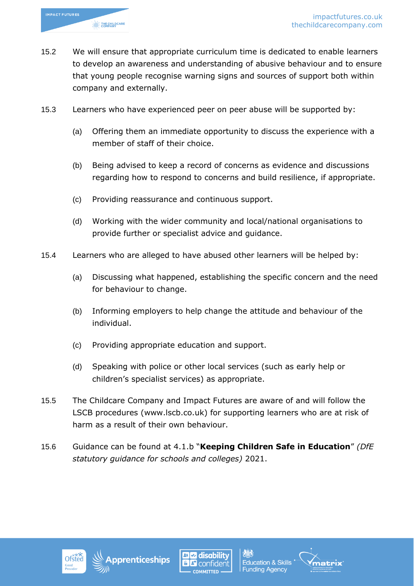

- 15.2 We will ensure that appropriate curriculum time is dedicated to enable learners to develop an awareness and understanding of abusive behaviour and to ensure that young people recognise warning signs and sources of support both within company and externally.
- 15.3 Learners who have experienced peer on peer abuse will be supported by:
	- (a) Offering them an immediate opportunity to discuss the experience with a member of staff of their choice.
	- (b) Being advised to keep a record of concerns as evidence and discussions regarding how to respond to concerns and build resilience, if appropriate.
	- (c) Providing reassurance and continuous support.
	- (d) Working with the wider community and local/national organisations to provide further or specialist advice and guidance.
- 15.4 Learners who are alleged to have abused other learners will be helped by:
	- (a) Discussing what happened, establishing the specific concern and the need for behaviour to change.
	- (b) Informing employers to help change the attitude and behaviour of the individual.
	- (c) Providing appropriate education and support.
	- (d) Speaking with police or other local services (such as early help or children's specialist services) as appropriate.
- 15.5 The Childcare Company and Impact Futures are aware of and will follow the LSCB procedures (www.lscb.co.uk) for supporting learners who are at risk of harm as a result of their own behaviour.
- 15.6 Guidance can be found at 4.1.b "**Keeping Children Safe in Education**" *(DfE statutory guidance for schools and colleges)* 2021.







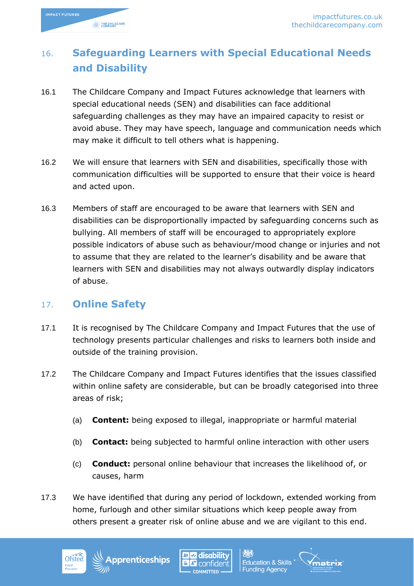

# 16. **Safeguarding Learners with Special Educational Needs and Disability**

- 16.1 The Childcare Company and Impact Futures acknowledge that learners with special educational needs (SEN) and disabilities can face additional safeguarding challenges as they may have an impaired capacity to resist or avoid abuse. They may have speech, language and communication needs which may make it difficult to tell others what is happening.
- 16.2 We will ensure that learners with SEN and disabilities, specifically those with communication difficulties will be supported to ensure that their voice is heard and acted upon.
- 16.3 Members of staff are encouraged to be aware that learners with SEN and disabilities can be disproportionally impacted by safeguarding concerns such as bullying. All members of staff will be encouraged to appropriately explore possible indicators of abuse such as behaviour/mood change or injuries and not to assume that they are related to the learner's disability and be aware that learners with SEN and disabilities may not always outwardly display indicators of abuse.

### 17. **Online Safety**

- 17.1 It is recognised by The Childcare Company and Impact Futures that the use of technology presents particular challenges and risks to learners both inside and outside of the training provision.
- 17.2 The Childcare Company and Impact Futures identifies that the issues classified within online safety are considerable, but can be broadly categorised into three areas of risk;
	- (a) **Content:** being exposed to illegal, inappropriate or harmful material
	- (b) **Contact:** being subjected to harmful online interaction with other users
	- (c) **Conduct:** personal online behaviour that increases the likelihood of, or causes, harm
- 17.3 We have identified that during any period of lockdown, extended working from home, furlough and other similar situations which keep people away from others present a greater risk of online abuse and we are vigilant to this end.







**Education & Skills** 

**Funding Agency** 

natrix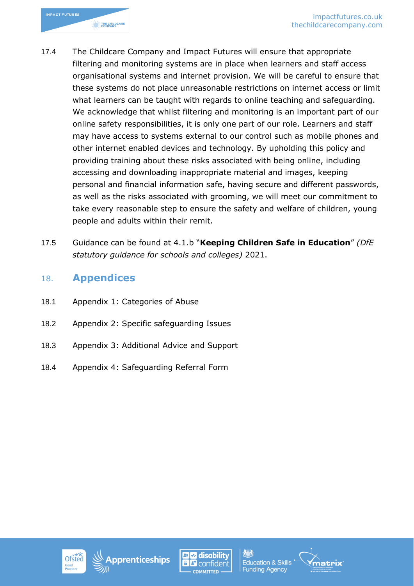- 17.4 The Childcare Company and Impact Futures will ensure that appropriate filtering and monitoring systems are in place when learners and staff access organisational systems and internet provision. We will be careful to ensure that these systems do not place unreasonable restrictions on internet access or limit what learners can be taught with regards to online teaching and safeguarding. We acknowledge that whilst filtering and monitoring is an important part of our online safety responsibilities, it is only one part of our role. Learners and staff may have access to systems external to our control such as mobile phones and other internet enabled devices and technology. By upholding this policy and providing training about these risks associated with being online, including accessing and downloading inappropriate material and images, keeping personal and financial information safe, having secure and different passwords, as well as the risks associated with grooming, we will meet our commitment to take every reasonable step to ensure the safety and welfare of children, young people and adults within their remit.
- 17.5 Guidance can be found at 4.1.b "**Keeping Children Safe in Education**" *(DfE statutory guidance for schools and colleges)* 2021.

### 18. **Appendices**

- 18.1 Appendix 1: Categories of Abuse
- 18.2 Appendix 2: Specific safeguarding Issues
- 18.3 Appendix 3: Additional Advice and Support
- 18.4 Appendix 4: Safeguarding Referral Form









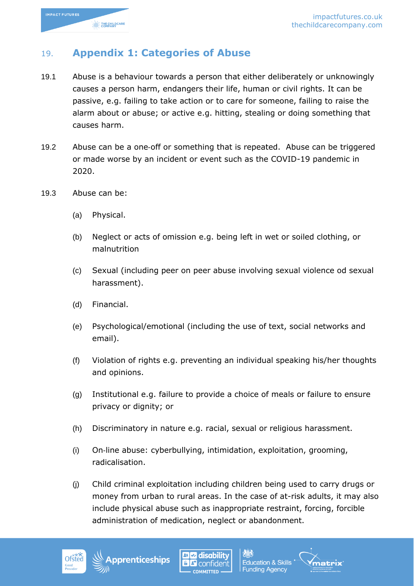

## 19. **Appendix 1: Categories of Abuse**

- 19.1 Abuse is a behaviour towards a person that either deliberately or unknowingly causes a person harm, endangers their life, human or civil rights. It can be passive, e.g. failing to take action or to care for someone, failing to raise the alarm about or abuse; or active e.g. hitting, stealing or doing something that causes harm.
- 19.2 Abuse can be a one-off or something that is repeated. Abuse can be triggered or made worse by an incident or event such as the COVID-19 pandemic in 2020.
- 19.3 Abuse can be:
	- (a) Physical.
	- (b) Neglect or acts of omission e.g. being left in wet or soiled clothing, or malnutrition
	- (c) Sexual (including peer on peer abuse involving sexual violence od sexual harassment).
	- (d) Financial.
	- (e) Psychological/emotional (including the use of text, social networks and email).
	- (f) Violation of rights e.g. preventing an individual speaking his/her thoughts and opinions.
	- (g) Institutional e.g. failure to provide a choice of meals or failure to ensure privacy or dignity; or
	- (h) Discriminatory in nature e.g. racial, sexual or religious harassment.
	- (i) On‐line abuse: cyberbullying, intimidation, exploitation, grooming, radicalisation.
	- (j) Child criminal exploitation including children being used to carry drugs or money from urban to rural areas. In the case of at-risk adults, it may also include physical abuse such as inappropriate restraint, forcing, forcible administration of medication, neglect or abandonment.









atrix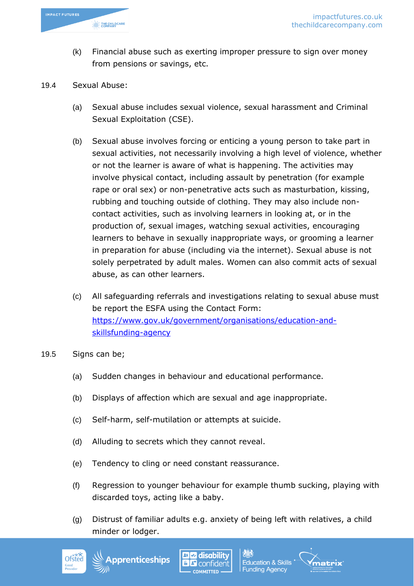

- (k) Financial abuse such as exerting improper pressure to sign over money from pensions or savings, etc.
- 19.4 Sexual Abuse:
	- (a) Sexual abuse includes sexual violence, sexual harassment and Criminal Sexual Exploitation (CSE).
	- (b) Sexual abuse involves forcing or enticing a young person to take part in sexual activities, not necessarily involving a high level of violence, whether or not the learner is aware of what is happening. The activities may involve physical contact, including assault by penetration (for example rape or oral sex) or non-penetrative acts such as masturbation, kissing, rubbing and touching outside of clothing. They may also include noncontact activities, such as involving learners in looking at, or in the production of, sexual images, watching sexual activities, encouraging learners to behave in sexually inappropriate ways, or grooming a learner in preparation for abuse (including via the internet). Sexual abuse is not solely perpetrated by adult males. Women can also commit acts of sexual abuse, as can other learners.
	- (c) All safeguarding referrals and investigations relating to sexual abuse must be report the ESFA using the Contact Form: [https://www.gov.uk/government/organisations/education-and](https://www.gov.uk/government/organisations/education-and-skillsfunding-agency)[skillsfunding-agency](https://www.gov.uk/government/organisations/education-and-skillsfunding-agency)
- 19.5 Signs can be;
	- (a) Sudden changes in behaviour and educational performance.
	- (b) Displays of affection which are sexual and age inappropriate.
	- (c) Self-harm, self-mutilation or attempts at suicide.
	- (d) Alluding to secrets which they cannot reveal.
	- (e) Tendency to cling or need constant reassurance.
	- (f) Regression to younger behaviour for example thumb sucking, playing with discarded toys, acting like a baby.
	- (g) Distrust of familiar adults e.g. anxiety of being left with relatives, a child minder or lodger.

**Education & Skills** 

**Funding Agency** 

iatrix



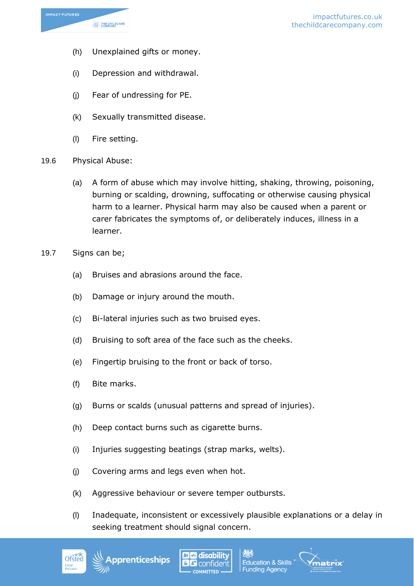

- (h) Unexplained gifts or money.
- (i) Depression and withdrawal.
- (j) Fear of undressing for PE.
- (k) Sexually transmitted disease.
- (l) Fire setting.
- 19.6 Physical Abuse:
	- (a) A form of abuse which may involve hitting, shaking, throwing, poisoning, burning or scalding, drowning, suffocating or otherwise causing physical harm to a learner. Physical harm may also be caused when a parent or carer fabricates the symptoms of, or deliberately induces, illness in a learner.
- 19.7 Signs can be;
	- (a) Bruises and abrasions around the face.
	- (b) Damage or injury around the mouth.
	- (c) Bi-lateral injuries such as two bruised eyes.
	- (d) Bruising to soft area of the face such as the cheeks.
	- (e) Fingertip bruising to the front or back of torso.
	- (f) Bite marks.
	- (g) Burns or scalds (unusual patterns and spread of injuries).
	- (h) Deep contact burns such as cigarette burns.
	- (i) Injuries suggesting beatings (strap marks, welts).
	- (j) Covering arms and legs even when hot.

oprenticeships

- (k) Aggressive behaviour or severe temper outbursts.
- (l) Inadequate, inconsistent or excessively plausible explanations or a delay in seeking treatment should signal concern.

**Funding Agency** 





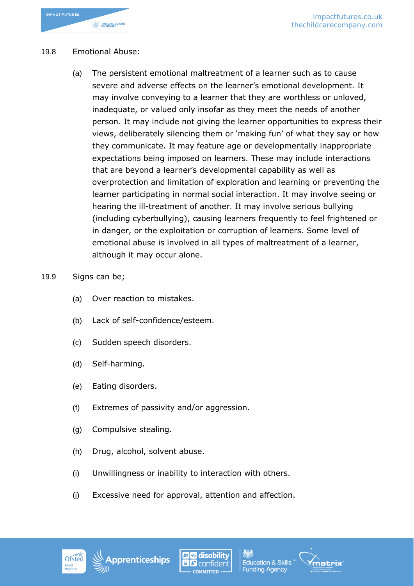

#### 19.8 Emotional Abuse:

(a) The persistent emotional maltreatment of a learner such as to cause severe and adverse effects on the learner's emotional development. It may involve conveying to a learner that they are worthless or unloved, inadequate, or valued only insofar as they meet the needs of another person. It may include not giving the learner opportunities to express their views, deliberately silencing them or 'making fun' of what they say or how they communicate. It may feature age or developmentally inappropriate expectations being imposed on learners. These may include interactions that are beyond a learner's developmental capability as well as overprotection and limitation of exploration and learning or preventing the learner participating in normal social interaction. It may involve seeing or hearing the ill-treatment of another. It may involve serious bullying (including cyberbullying), causing learners frequently to feel frightened or in danger, or the exploitation or corruption of learners. Some level of emotional abuse is involved in all types of maltreatment of a learner, although it may occur alone.

#### 19.9 Signs can be;

- (a) Over reaction to mistakes.
- (b) Lack of self-confidence/esteem.
- (c) Sudden speech disorders.
- (d) Self-harming.
- (e) Eating disorders.
- (f) Extremes of passivity and/or aggression.
- (g) Compulsive stealing.
- (h) Drug, alcohol, solvent abuse.
- (i) Unwillingness or inability to interaction with others.
- (j) Excessive need for approval, attention and affection.







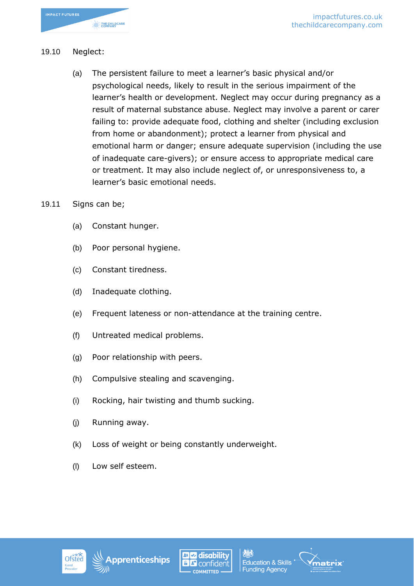

#### 19.10 Neglect:

- (a) The persistent failure to meet a learner's basic physical and/or psychological needs, likely to result in the serious impairment of the learner's health or development. Neglect may occur during pregnancy as a result of maternal substance abuse. Neglect may involve a parent or carer failing to: provide adequate food, clothing and shelter (including exclusion from home or abandonment); protect a learner from physical and emotional harm or danger; ensure adequate supervision (including the use of inadequate care-givers); or ensure access to appropriate medical care or treatment. It may also include neglect of, or unresponsiveness to, a learner's basic emotional needs.
- 19.11 Signs can be;
	- (a) Constant hunger.
	- (b) Poor personal hygiene.
	- (c) Constant tiredness.
	- (d) Inadequate clothing.
	- (e) Frequent lateness or non-attendance at the training centre.
	- (f) Untreated medical problems.
	- (g) Poor relationship with peers.
	- (h) Compulsive stealing and scavenging.
	- (i) Rocking, hair twisting and thumb sucking.
	- (j) Running away.
	- (k) Loss of weight or being constantly underweight.
	- (l) Low self esteem.

![](_page_29_Picture_17.jpeg)

![](_page_29_Picture_18.jpeg)

![](_page_29_Picture_19.jpeg)

![](_page_29_Picture_20.jpeg)

![](_page_29_Picture_21.jpeg)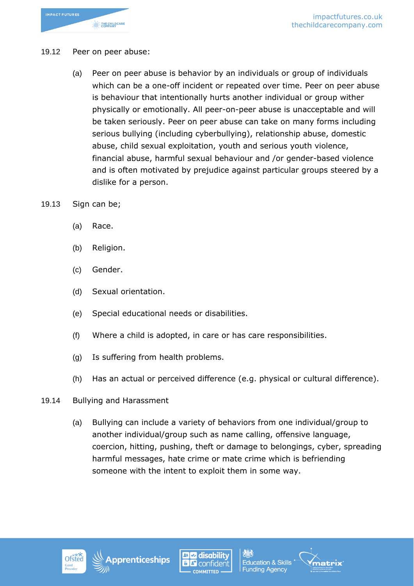![](_page_30_Picture_0.jpeg)

#### 19.12 Peer on peer abuse:

- (a) Peer on peer abuse is behavior by an individuals or group of individuals which can be a one-off incident or repeated over time. Peer on peer abuse is behaviour that intentionally hurts another individual or group wither physically or emotionally. All peer-on-peer abuse is unacceptable and will be taken seriously. Peer on peer abuse can take on many forms including serious bullying (including cyberbullying), relationship abuse, domestic abuse, child sexual exploitation, youth and serious youth violence, financial abuse, harmful sexual behaviour and /or gender-based violence and is often motivated by prejudice against particular groups steered by a dislike for a person.
- 19.13 Sign can be;
	- (a) Race.
	- (b) Religion.
	- (c) Gender.
	- (d) Sexual orientation.
	- (e) Special educational needs or disabilities.
	- (f) Where a child is adopted, in care or has care responsibilities.
	- (g) Is suffering from health problems.
	- (h) Has an actual or perceived difference (e.g. physical or cultural difference).
- 19.14 Bullying and Harassment
	- (a) Bullying can include a variety of behaviors from one individual/group to another individual/group such as name calling, offensive language, coercion, hitting, pushing, theft or damage to belongings, cyber, spreading harmful messages, hate crime or mate crime which is befriending someone with the intent to exploit them in some way.

![](_page_30_Picture_15.jpeg)

![](_page_30_Picture_16.jpeg)

![](_page_30_Picture_17.jpeg)

![](_page_30_Picture_18.jpeg)

![](_page_30_Picture_19.jpeg)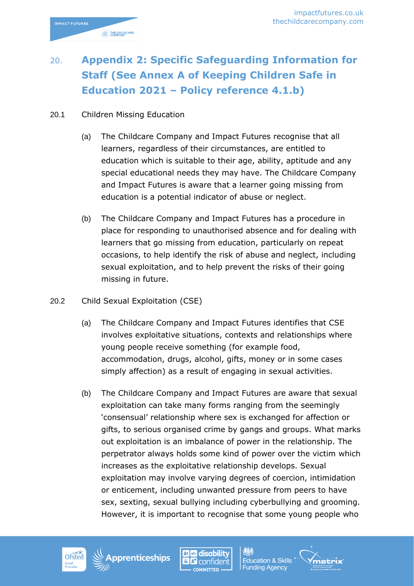# 20. **Appendix 2: Specific Safeguarding Information for Staff (See Annex A of Keeping Children Safe in Education 2021 – Policy reference 4.1.b)**

### 20.1 Children Missing Education

THE CHILDCARE

- (a) The Childcare Company and Impact Futures recognise that all learners, regardless of their circumstances, are entitled to education which is suitable to their age, ability, aptitude and any special educational needs they may have. The Childcare Company and Impact Futures is aware that a learner going missing from education is a potential indicator of abuse or neglect.
- (b) The Childcare Company and Impact Futures has a procedure in place for responding to unauthorised absence and for dealing with learners that go missing from education, particularly on repeat occasions, to help identify the risk of abuse and neglect, including sexual exploitation, and to help prevent the risks of their going missing in future.
- 20.2 Child Sexual Exploitation (CSE)
	- (a) The Childcare Company and Impact Futures identifies that CSE involves exploitative situations, contexts and relationships where young people receive something (for example food, accommodation, drugs, alcohol, gifts, money or in some cases simply affection) as a result of engaging in sexual activities.
	- (b) The Childcare Company and Impact Futures are aware that sexual exploitation can take many forms ranging from the seemingly 'consensual' relationship where sex is exchanged for affection or gifts, to serious organised crime by gangs and groups. What marks out exploitation is an imbalance of power in the relationship. The perpetrator always holds some kind of power over the victim which increases as the exploitative relationship develops. Sexual exploitation may involve varying degrees of coercion, intimidation or enticement, including unwanted pressure from peers to have sex, sexting, sexual bullying including cyberbullying and grooming. However, it is important to recognise that some young people who

w

COMMITTED

![](_page_31_Picture_8.jpeg)

l disability **Education & Skills** confident **Funding Agency** 

natrix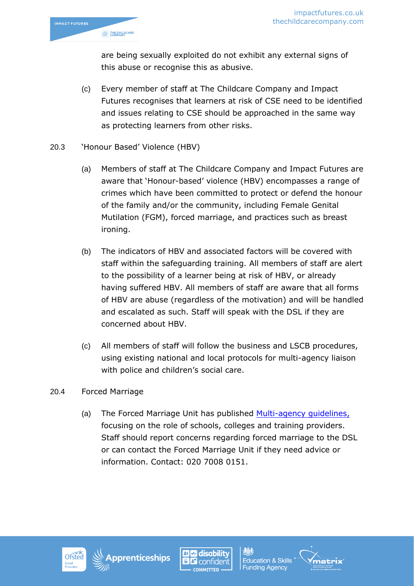![](_page_32_Picture_1.jpeg)

are being sexually exploited do not exhibit any external signs of this abuse or recognise this as abusive.

(c) Every member of staff at The Childcare Company and Impact Futures recognises that learners at risk of CSE need to be identified and issues relating to CSE should be approached in the same way as protecting learners from other risks.

### 20.3 'Honour Based' Violence (HBV)

- (a) Members of staff at The Childcare Company and Impact Futures are aware that 'Honour-based' violence (HBV) encompasses a range of crimes which have been committed to protect or defend the honour of the family and/or the community, including Female Genital Mutilation (FGM), forced marriage, and practices such as breast ironing.
- (b) The indicators of HBV and associated factors will be covered with staff within the safeguarding training. All members of staff are alert to the possibility of a learner being at risk of HBV, or already having suffered HBV. All members of staff are aware that all forms of HBV are abuse (regardless of the motivation) and will be handled and escalated as such. Staff will speak with the DSL if they are concerned about HBV.
- (c) All members of staff will follow the business and LSCB procedures, using existing national and local protocols for multi-agency liaison with police and children's social care.

### 20.4 Forced Marriage

(a) The Forced Marriage Unit has published [Multi-agency guidelines,](https://www.gov.uk/government/uploads/system/uploads/attachment_data/file/322307/HMG_MULTI_AGENCY_PRACTICE_GUIDELINES_v1_180614_FINAL.pdf) focusing on the role of schools, colleges and training providers. Staff should report concerns regarding forced marriage to the DSL or can contact the Forced Marriage Unit if they need advice or information. Contact: 020 7008 0151.

![](_page_32_Picture_10.jpeg)

![](_page_32_Picture_11.jpeg)

![](_page_32_Picture_12.jpeg)

![](_page_32_Picture_14.jpeg)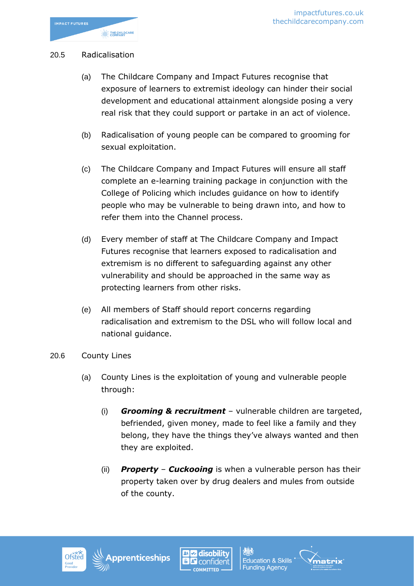### 20.5 Radicalisation

- (a) The Childcare Company and Impact Futures recognise that exposure of learners to extremist ideology can hinder their social development and educational attainment alongside posing a very real risk that they could support or partake in an act of violence.
- (b) Radicalisation of young people can be compared to grooming for sexual exploitation.
- (c) The Childcare Company and Impact Futures will ensure all staff complete an e-learning training package in conjunction with the College of Policing which includes guidance on how to identify people who may be vulnerable to being drawn into, and how to refer them into the Channel process.
- (d) Every member of staff at The Childcare Company and Impact Futures recognise that learners exposed to radicalisation and extremism is no different to safeguarding against any other vulnerability and should be approached in the same way as protecting learners from other risks.
- (e) All members of Staff should report concerns regarding radicalisation and extremism to the DSL who will follow local and national guidance.
- 20.6 County Lines
	- (a) County Lines is the exploitation of young and vulnerable people through:
		- (i) *Grooming & recruitment* vulnerable children are targeted, befriended, given money, made to feel like a family and they belong, they have the things they've always wanted and then they are exploited.
		- (ii) *Property Cuckooing* is when a vulnerable person has their property taken over by drug dealers and mules from outside of the county.

![](_page_33_Picture_12.jpeg)

![](_page_33_Picture_13.jpeg)

![](_page_33_Picture_14.jpeg)

![](_page_33_Picture_16.jpeg)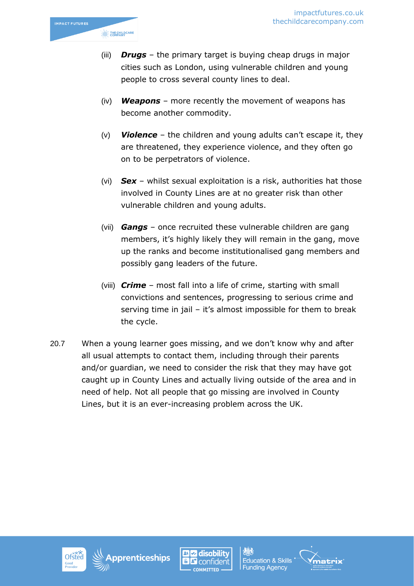![](_page_34_Picture_1.jpeg)

- (iii) *Drugs* the primary target is buying cheap drugs in major cities such as London, using vulnerable children and young people to cross several county lines to deal.
- (iv) *Weapons* more recently the movement of weapons has become another commodity.
- (v) *Violence* the children and young adults can't escape it, they are threatened, they experience violence, and they often go on to be perpetrators of violence.
- (vi) *Sex* whilst sexual exploitation is a risk, authorities hat those involved in County Lines are at no greater risk than other vulnerable children and young adults.
- (vii) *Gangs* once recruited these vulnerable children are gang members, it's highly likely they will remain in the gang, move up the ranks and become institutionalised gang members and possibly gang leaders of the future.
- (viii) *Crime* most fall into a life of crime, starting with small convictions and sentences, progressing to serious crime and serving time in jail – it's almost impossible for them to break the cycle.
- 20.7 When a young learner goes missing, and we don't know why and after all usual attempts to contact them, including through their parents and/or guardian, we need to consider the risk that they may have got caught up in County Lines and actually living outside of the area and in need of help. Not all people that go missing are involved in County Lines, but it is an ever-increasing problem across the UK.

![](_page_34_Picture_9.jpeg)

![](_page_34_Picture_10.jpeg)

![](_page_34_Picture_11.jpeg)

![](_page_34_Picture_13.jpeg)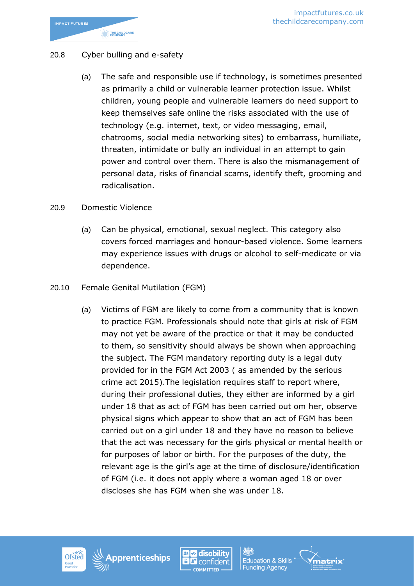![](_page_35_Picture_0.jpeg)

### 20.8 Cyber bulling and e-safety

(a) The safe and responsible use if technology, is sometimes presented as primarily a child or vulnerable learner protection issue. Whilst children, young people and vulnerable learners do need support to keep themselves safe online the risks associated with the use of technology (e.g. internet, text, or video messaging, email, chatrooms, social media networking sites) to embarrass, humiliate, threaten, intimidate or bully an individual in an attempt to gain power and control over them. There is also the mismanagement of personal data, risks of financial scams, identify theft, grooming and radicalisation.

#### 20.9 Domestic Violence

- (a) Can be physical, emotional, sexual neglect. This category also covers forced marriages and honour-based violence. Some learners may experience issues with drugs or alcohol to self-medicate or via dependence.
- 20.10 Female Genital Mutilation (FGM)
	- (a) Victims of FGM are likely to come from a community that is known to practice FGM. Professionals should note that girls at risk of FGM may not yet be aware of the practice or that it may be conducted to them, so sensitivity should always be shown when approaching the subject. The FGM mandatory reporting duty is a legal duty provided for in the FGM Act 2003 ( as amended by the serious crime act 2015).The legislation requires staff to report where, during their professional duties, they either are informed by a girl under 18 that as act of FGM has been carried out om her, observe physical signs which appear to show that an act of FGM has been carried out on a girl under 18 and they have no reason to believe that the act was necessary for the girls physical or mental health or for purposes of labor or birth. For the purposes of the duty, the relevant age is the girl's age at the time of disclosure/identification of FGM (i.e. it does not apply where a woman aged 18 or over discloses she has FGM when she was under 18.

![](_page_35_Picture_8.jpeg)

![](_page_35_Picture_9.jpeg)

![](_page_35_Picture_10.jpeg)

![](_page_35_Picture_12.jpeg)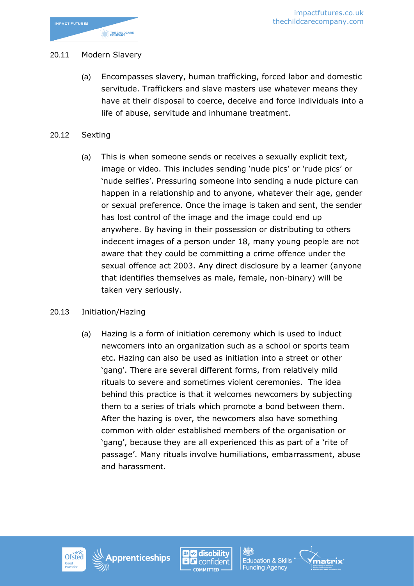![](_page_36_Picture_0.jpeg)

#### 20.11 Modern Slavery

- (a) Encompasses slavery, human trafficking, forced labor and domestic servitude. Traffickers and slave masters use whatever means they have at their disposal to coerce, deceive and force individuals into a life of abuse, servitude and inhumane treatment.
- 20.12 Sexting
	- (a) This is when someone sends or receives a sexually explicit text, image or video. This includes sending 'nude pics' or 'rude pics' or 'nude selfies'. Pressuring someone into sending a nude picture can happen in a relationship and to anyone, whatever their age, gender or sexual preference. Once the image is taken and sent, the sender has lost control of the image and the image could end up anywhere. By having in their possession or distributing to others indecent images of a person under 18, many young people are not aware that they could be committing a crime offence under the sexual offence act 2003. Any direct disclosure by a learner (anyone that identifies themselves as male, female, non-binary) will be taken very seriously.

#### 20.13 Initiation/Hazing

(a) Hazing is a form of initiation ceremony which is used to induct newcomers into an organization such as a school or sports team etc. Hazing can also be used as initiation into a street or other 'gang'. There are several different forms, from relatively mild rituals to severe and sometimes violent ceremonies. The idea behind this practice is that it welcomes newcomers by subjecting them to a series of trials which promote a bond between them. After the hazing is over, the newcomers also have something common with older established members of the organisation or 'gang', because they are all experienced this as part of a 'rite of passage'. Many rituals involve humiliations, embarrassment, abuse and harassment.

![](_page_36_Picture_8.jpeg)

![](_page_36_Picture_9.jpeg)

![](_page_36_Picture_10.jpeg)

![](_page_36_Picture_12.jpeg)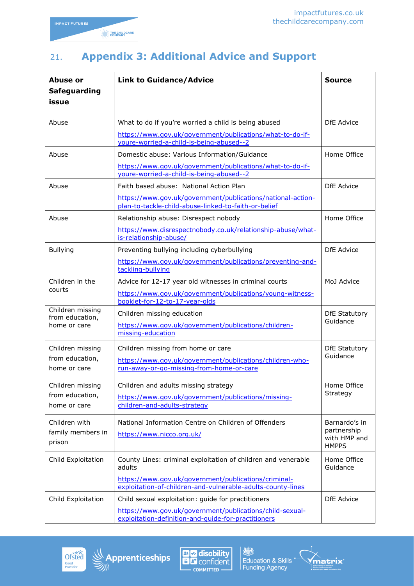## 21. **Appendix 3: Additional Advice and Support**

| Abuse or<br><b>Safeguarding</b><br>issue            | <b>Link to Guidance/Advice</b>                                                                                                                                                                 | <b>Source</b>                                                |
|-----------------------------------------------------|------------------------------------------------------------------------------------------------------------------------------------------------------------------------------------------------|--------------------------------------------------------------|
| Abuse                                               | What to do if you're worried a child is being abused<br>https://www.gov.uk/government/publications/what-to-do-if-<br>youre-worried-a-child-is-being-abused--2                                  | DfE Advice                                                   |
| Abuse                                               | Domestic abuse: Various Information/Guidance<br>https://www.qov.uk/qovernment/publications/what-to-do-if-<br>youre-worried-a-child-is-being-abused--2                                          | Home Office                                                  |
| Abuse                                               | Faith based abuse: National Action Plan<br>https://www.gov.uk/government/publications/national-action-<br>plan-to-tackle-child-abuse-linked-to-faith-or-belief                                 | DfE Advice                                                   |
| Abuse                                               | Relationship abuse: Disrespect nobody<br>https://www.disrespectnobody.co.uk/relationship-abuse/what-<br>is-relationship-abuse/                                                                 | Home Office                                                  |
| <b>Bullying</b>                                     | Preventing bullying including cyberbullying<br>https://www.gov.uk/government/publications/preventing-and-<br>tackling-bullying                                                                 | <b>DfE</b> Advice                                            |
| Children in the<br>courts                           | Advice for 12-17 year old witnesses in criminal courts<br>https://www.qov.uk/qovernment/publications/young-witness-<br>booklet-for-12-to-17-year-olds                                          | MoJ Advice                                                   |
| Children missing<br>from education,<br>home or care | Children missing education<br>https://www.gov.uk/government/publications/children-<br>missing-education                                                                                        | <b>DfE Statutory</b><br>Guidance                             |
| Children missing<br>from education,<br>home or care | Children missing from home or care<br>https://www.gov.uk/government/publications/children-who-<br>run-away-or-go-missing-from-home-or-care                                                     | <b>DfE Statutory</b><br>Guidance                             |
| Children missing<br>from education,<br>home or care | Children and adults missing strategy<br>https://www.gov.uk/government/publications/missing-<br>children-and-adults-strategy                                                                    | Home Office<br>Strategy                                      |
| Children with<br>family members in<br>prison        | National Information Centre on Children of Offenders<br>https://www.nicco.org.uk/                                                                                                              | Barnardo's in<br>partnership<br>with HMP and<br><b>HMPPS</b> |
| Child Exploitation                                  | County Lines: criminal exploitation of children and venerable<br>adults<br>https://www.gov.uk/government/publications/criminal-<br>exploitation-of-children-and-vulnerable-adults-county-lines | Home Office<br>Guidance                                      |
| Child Exploitation                                  | Child sexual exploitation: guide for practitioners<br>https://www.gov.uk/government/publications/child-sexual-<br>exploitation-definition-and-quide-for-practitioners                          | DfE Advice                                                   |

![](_page_37_Picture_4.jpeg)

![](_page_37_Picture_5.jpeg)

![](_page_37_Picture_6.jpeg)

**13.3**<br>Education & Skills<br>Funding Agency

![](_page_37_Picture_8.jpeg)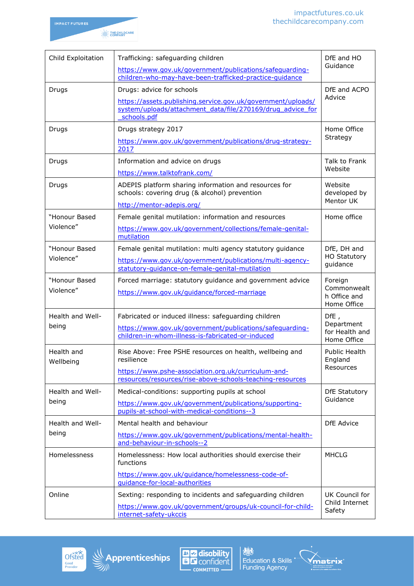![](_page_38_Picture_1.jpeg)

| Child Exploitation         | Trafficking: safeguarding children<br>https://www.gov.uk/government/publications/safequarding-                                                                                                                                    | DfE and HO<br>Guidance                                |
|----------------------------|-----------------------------------------------------------------------------------------------------------------------------------------------------------------------------------------------------------------------------------|-------------------------------------------------------|
| Drugs                      | children-who-may-have-been-trafficked-practice-quidance<br>Drugs: advice for schools<br>https://assets.publishing.service.gov.uk/government/uploads/<br>system/uploads/attachment data/file/270169/drug advice for<br>schools.pdf | DfE and ACPO<br>Advice                                |
| Drugs                      | Drugs strategy 2017<br>https://www.gov.uk/government/publications/drug-strategy-<br>2017                                                                                                                                          | Home Office<br>Strategy                               |
| Drugs                      | Information and advice on drugs<br>https://www.talktofrank.com/                                                                                                                                                                   | Talk to Frank<br>Website                              |
| Drugs                      | ADEPIS platform sharing information and resources for<br>schools: covering drug (& alcohol) prevention<br>http://mentor-adepis.org/                                                                                               | Website<br>developed by<br>Mentor UK                  |
| "Honour Based<br>Violence" | Female genital mutilation: information and resources<br>https://www.gov.uk/government/collections/female-genital-<br>mutilation                                                                                                   | Home office                                           |
| "Honour Based<br>Violence" | Female genital mutilation: multi agency statutory guidance<br>https://www.gov.uk/government/publications/multi-agency-<br>statutory-guidance-on-female-genital-mutilation                                                         | DfE, DH and<br><b>HO Statutory</b><br>guidance        |
| "Honour Based<br>Violence" | Forced marriage: statutory guidance and government advice<br>https://www.gov.uk/quidance/forced-marriage                                                                                                                          | Foreign<br>Commonwealt<br>h Office and<br>Home Office |
| Health and Well-<br>being  | Fabricated or induced illness: safeguarding children<br>https://www.gov.uk/government/publications/safequarding-<br>children-in-whom-illness-is-fabricated-or-induced                                                             | DFE,<br>Department<br>for Health and<br>Home Office   |
| Health and<br>Wellbeing    | Rise Above: Free PSHE resources on health, wellbeing and<br>resilience<br>https://www.pshe-association.org.uk/curriculum-and-<br>resources/resources/rise-above-schools-teaching-resources                                        | <b>Public Health</b><br>England<br>Resources          |
| Health and Well-<br>being  | Medical-conditions: supporting pupils at school<br>https://www.gov.uk/government/publications/supporting-<br>pupils-at-school-with-medical-conditions--3                                                                          | <b>DfE Statutory</b><br>Guidance                      |
| Health and Well-<br>being  | Mental health and behaviour<br>https://www.gov.uk/government/publications/mental-health-<br>and-behaviour-in-schools--2                                                                                                           | <b>DfE</b> Advice                                     |
| Homelessness               | Homelessness: How local authorities should exercise their<br>functions<br>https://www.gov.uk/guidance/homelessness-code-of-<br>guidance-for-local-authorities                                                                     | <b>MHCLG</b>                                          |
| Online                     | Sexting: responding to incidents and safeguarding children<br>https://www.gov.uk/government/groups/uk-council-for-child-<br>internet-safety-ukccis                                                                                | UK Council for<br>Child Internet<br>Safety            |

![](_page_38_Picture_3.jpeg)

![](_page_38_Picture_4.jpeg)

![](_page_38_Picture_5.jpeg)

Education & Skills<br>
Education & Skills<br>
Funding Agency

![](_page_38_Picture_7.jpeg)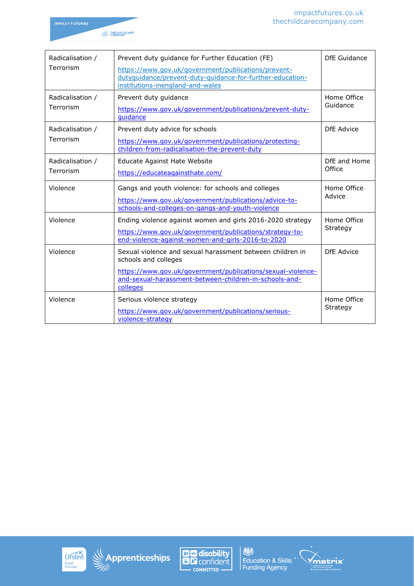![](_page_39_Picture_1.jpeg)

| Radicalisation /              | Prevent duty guidance for Further Education (FE)                                                                                                                           | DfE Guidance            |
|-------------------------------|----------------------------------------------------------------------------------------------------------------------------------------------------------------------------|-------------------------|
| Terrorism                     | https://www.gov.uk/government/publications/prevent-<br>dutyquidance/prevent-duty-quidance-for-further-education-<br>institutions-inengland-and-wales                       |                         |
| Radicalisation /<br>Terrorism | Prevent duty guidance<br>https://www.gov.uk/government/publications/prevent-duty-<br>quidance                                                                              | Home Office<br>Guidance |
| Radicalisation /<br>Terrorism | Prevent duty advice for schools<br>DfE Advice<br>https://www.gov.uk/government/publications/protecting-<br>children-from-radicalisation-the-prevent-duty                   |                         |
| Radicalisation /<br>Terrorism | <b>Educate Against Hate Website</b><br>https://educateagainsthate.com/                                                                                                     | DfE and Home<br>Office  |
| Violence                      | Gangs and youth violence: for schools and colleges<br>https://www.gov.uk/government/publications/advice-to-<br>schools-and-colleges-on-gangs-and-youth-violence            | Home Office<br>Advice   |
| Violence                      | Ending violence against women and girls 2016-2020 strategy<br>https://www.gov.uk/government/publications/strategy-to-<br>end-violence-against-women-and-girls-2016-to-2020 | Home Office<br>Strategy |
| Violence                      | Sexual violence and sexual harassment between children in<br>schools and colleges                                                                                          | DfE Advice              |
|                               | https://www.gov.uk/government/publications/sexual-violence-<br>and-sexual-harassment-between-children-in-schools-and-<br>colleges                                          |                         |
| Violence                      | Serious violence strategy<br>https://www.gov.uk/government/publications/serious-<br>violence-strategy                                                                      | Home Office<br>Strategy |

![](_page_39_Picture_3.jpeg)

![](_page_39_Picture_4.jpeg)

![](_page_39_Picture_5.jpeg)

Education & Skills<br>
Education & Skills<br>
Funding Agency

![](_page_39_Picture_7.jpeg)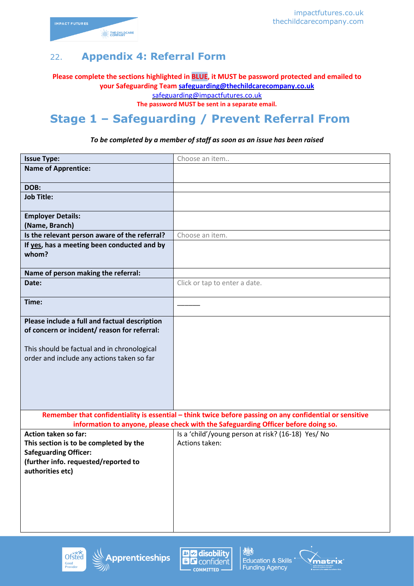![](_page_40_Picture_1.jpeg)

## 22. **Appendix 4: Referral Form**

**Please complete the sections highlighted in BLUE, it MUST be password protected and emailed to your Safeguarding Team [safeguarding@thechildcarecompany.co.uk](mailto:safeguarding@thechildcarecompany.co.uk)**

safeguarding@impactfutures.co.uk

**The password MUST be sent in a separate email.**

# **Stage 1 – Safeguarding / Prevent Referral From**

#### *To be completed by a member of staff as soon as an issue has been raised*

| <b>Issue Type:</b>                            | Choose an item                                                                                           |
|-----------------------------------------------|----------------------------------------------------------------------------------------------------------|
| <b>Name of Apprentice:</b>                    |                                                                                                          |
|                                               |                                                                                                          |
| DOB:                                          |                                                                                                          |
| <b>Job Title:</b>                             |                                                                                                          |
| <b>Employer Details:</b>                      |                                                                                                          |
| (Name, Branch)                                |                                                                                                          |
| Is the relevant person aware of the referral? | Choose an item.                                                                                          |
| If yes, has a meeting been conducted and by   |                                                                                                          |
| whom?                                         |                                                                                                          |
|                                               |                                                                                                          |
| Name of person making the referral:           |                                                                                                          |
| Date:                                         | Click or tap to enter a date.                                                                            |
| Time:                                         |                                                                                                          |
|                                               |                                                                                                          |
| Please include a full and factual description |                                                                                                          |
| of concern or incident/ reason for referral:  |                                                                                                          |
|                                               |                                                                                                          |
| This should be factual and in chronological   |                                                                                                          |
| order and include any actions taken so far    |                                                                                                          |
|                                               |                                                                                                          |
|                                               |                                                                                                          |
|                                               |                                                                                                          |
|                                               |                                                                                                          |
|                                               | Remember that confidentiality is essential - think twice before passing on any confidential or sensitive |
|                                               | information to anyone, please check with the Safeguarding Officer before doing so.                       |
| Action taken so far:                          | Is a 'child'/young person at risk? (16-18) Yes/ No                                                       |
| This section is to be completed by the        | Actions taken:                                                                                           |
| <b>Safeguarding Officer:</b>                  |                                                                                                          |
| (further info. requested/reported to          |                                                                                                          |
| authorities etc)                              |                                                                                                          |
|                                               |                                                                                                          |
|                                               |                                                                                                          |
|                                               |                                                                                                          |
|                                               |                                                                                                          |
|                                               |                                                                                                          |

![](_page_40_Picture_9.jpeg)

![](_page_40_Picture_10.jpeg)

![](_page_40_Picture_11.jpeg)

![](_page_40_Picture_13.jpeg)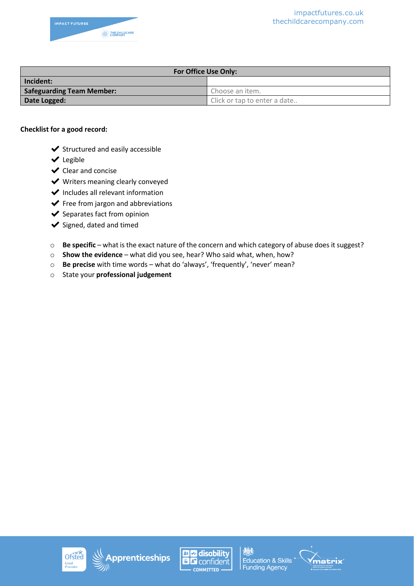![](_page_41_Picture_1.jpeg)

| For Office Use Only:             |                              |  |
|----------------------------------|------------------------------|--|
| Incident:                        |                              |  |
| <b>Safeguarding Team Member:</b> | Choose an item.              |  |
| Date Logged:                     | Click or tap to enter a date |  |

#### **Checklist for a good record:**

- $\blacktriangleright$  Structured and easily accessible
- ✔ Legible
- ✔ Clear and concise
- $\blacktriangleright$  Writers meaning clearly conveyed
- ✔ Includes all relevant information
- $\blacktriangleright$  Free from jargon and abbreviations
- $\blacktriangleright$  Separates fact from opinion
- ◆ Signed, dated and timed
- o **Be specific** what is the exact nature of the concern and which category of abuse does it suggest?
- o **Show the evidence** what did you see, hear? Who said what, when, how?
- o **Be precise** with time words what do 'always', 'frequently', 'never' mean?
- o State your **professional judgement**

![](_page_41_Picture_16.jpeg)

![](_page_41_Picture_17.jpeg)

![](_page_41_Picture_18.jpeg)

![](_page_41_Picture_20.jpeg)